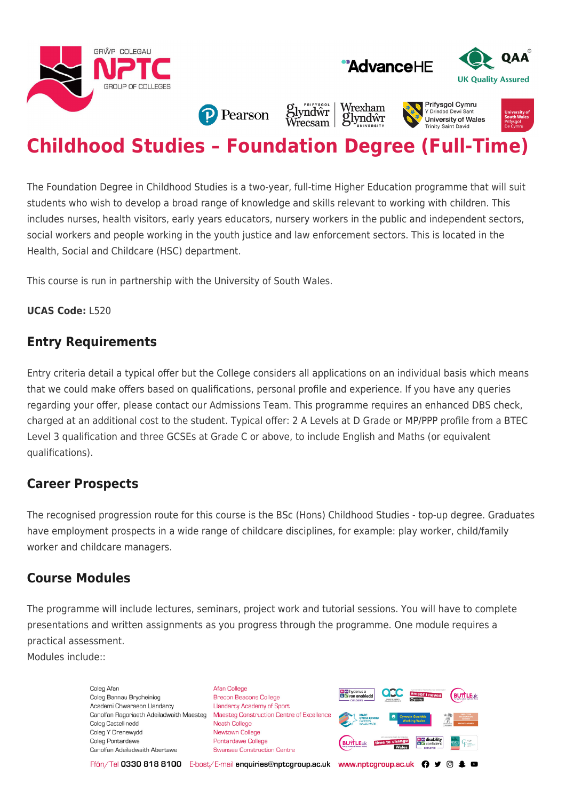





**Prifysaol Cymru** 

University of Wales **Trinity Saint David** 

Y Drindod Dew

**P** Pearson

Wrexham *S*lyndŵr<br>Wrecsam glyndŵr

# **Childhood Studies – Foundation Degree (Full-Time)**

The Foundation Degree in Childhood Studies is a two-year, full-time Higher Education programme that will suit students who wish to develop a broad range of knowledge and skills relevant to working with children. This includes nurses, health visitors, early years educators, nursery workers in the public and independent sectors, social workers and people working in the youth justice and law enforcement sectors. This is located in the Health, Social and Childcare (HSC) department.

This course is run in partnership with the University of South Wales.

#### **UCAS Code:** L520

## **Entry Requirements**

Entry criteria detail a typical offer but the College considers all applications on an individual basis which means that we could make offers based on qualifications, personal profile and experience. If you have any queries regarding your offer, please contact our Admissions Team. This programme requires an enhanced DBS check, charged at an additional cost to the student. Typical offer: 2 A Levels at D Grade or MP/PPP profile from a BTEC Level 3 qualification and three GCSEs at Grade C or above, to include English and Maths (or equivalent qualifications).

## **Career Prospects**

The recognised progression route for this course is the BSc (Hons) Childhood Studies - top-up degree. Graduates have employment prospects in a wide range of childcare disciplines, for example: play worker, child/family worker and childcare managers.

## **Course Modules**

The programme will include lectures, seminars, project work and tutorial sessions. You will have to complete presentations and written assignments as you progress through the programme. One module requires a practical assessment.

Modules include::

Coleg Afan Coleg Bannau Brycheiniog Academi Chwaraeon Llandarcy Canolfan Ragoriaeth Adeiladwaith Maesteg Coleg Castell-nedd Coleg Y Drenewydd Coleg Pontardawe Canolfan Adeiladwaith Abertawe

**Afan College** Brecon Beacons College **Llandarcy Academy of Sport** Maesteg Construction Centre of Excellence Neath College Newtown College **Pontardawe College** Swansea Construction Centre



Ffôn/Tel 0330 818 8100 E-bost/E-mail enquiries@nptcgroup.ac.uk www.nptcgroup.ac.uk ? • © \$